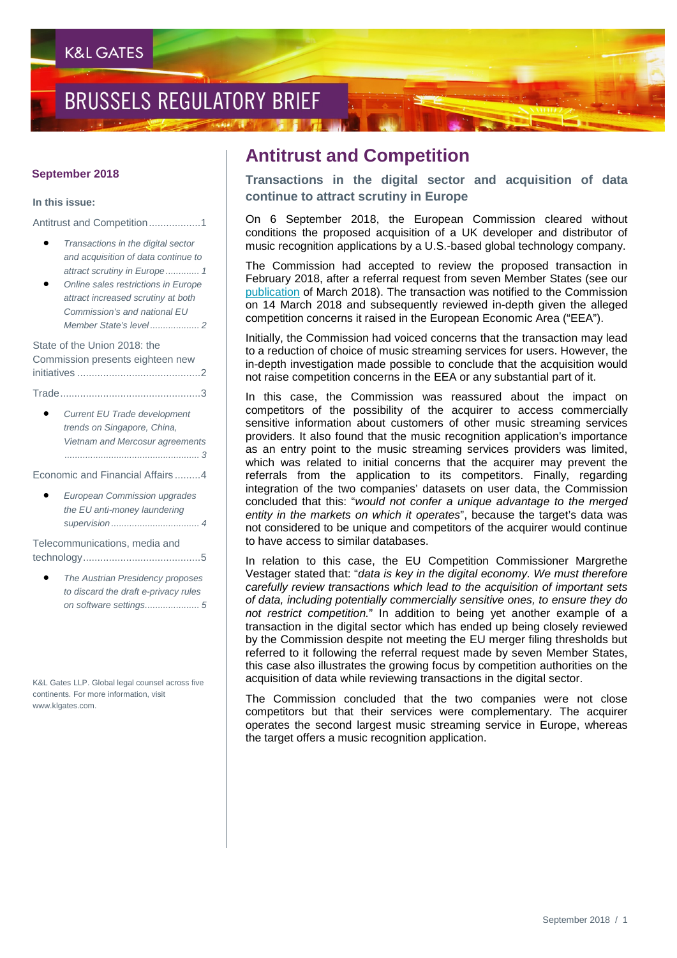## **BRUSSELS REGULATORY BRIEF**

#### **September 2018**

#### **In this issue:**

Antitrust and Competition..................1

- *Transactions in the digital sector and acquisition of data continue to attract scrutiny in Europe ............. 1*
- *Online sales restrictions in Europe attract increased scrutiny at both Commission's and national EU Member State's level ................... 2*

State of the Union 2018: the Commission presents eighteen new initiatives ...........................................2

Trade.................................................3

• *Current EU Trade development trends on Singapore, China, Vietnam and Mercosur agreements .................................................... 3*

Economic and Financial Affairs .........4

• *European Commission upgrades the EU anti-money laundering supervision .................................. 4*

Telecommunications, media and technology.........................................5

• *The Austrian Presidency proposes to discard the draft e-privacy rules on software settings..................... 5*

K&L Gates LLP. Global legal counsel across five continents. For more information, visit www.klgates.com.

### **Antitrust and Competition**

**Transactions in the digital sector and acquisition of data continue to attract scrutiny in Europe**

On 6 September 2018, the European Commission cleared without conditions the proposed acquisition of a UK developer and distributor of music recognition applications by a U.S.-based global technology company.

The Commission had accepted to review the proposed transaction in February 2018, after a referral request from seven Member States (see our [publication](http://www.klgates.com/brussels-regulatory-brief-march-2018-03-07-2018/) of March 2018). The transaction was notified to the Commission on 14 March 2018 and subsequently reviewed in-depth given the alleged competition concerns it raised in the European Economic Area ("EEA").

Initially, the Commission had voiced concerns that the transaction may lead to a reduction of choice of music streaming services for users. However, the in-depth investigation made possible to conclude that the acquisition would not raise competition concerns in the EEA or any substantial part of it.

In this case, the Commission was reassured about the impact on competitors of the possibility of the acquirer to access commercially sensitive information about customers of other music streaming services providers. It also found that the music recognition application's importance as an entry point to the music streaming services providers was limited, which was related to initial concerns that the acquirer may prevent the referrals from the application to its competitors. Finally, regarding integration of the two companies' datasets on user data, the Commission concluded that this: "*would not confer a unique advantage to the merged entity in the markets on which it operates*", because the target's data was not considered to be unique and competitors of the acquirer would continue to have access to similar databases.

In relation to this case, the EU Competition Commissioner Margrethe Vestager stated that: "*data is key in the digital economy. We must therefore carefully review transactions which lead to the acquisition of important sets of data, including potentially commercially sensitive ones, to ensure they do not restrict competition.*" In addition to being yet another example of a transaction in the digital sector which has ended up being closely reviewed by the Commission despite not meeting the EU merger filing thresholds but referred to it following the referral request made by seven Member States, this case also illustrates the growing focus by competition authorities on the acquisition of data while reviewing transactions in the digital sector.

The Commission concluded that the two companies were not close competitors but that their services were complementary. The acquirer operates the second largest music streaming service in Europe, whereas the target offers a music recognition application.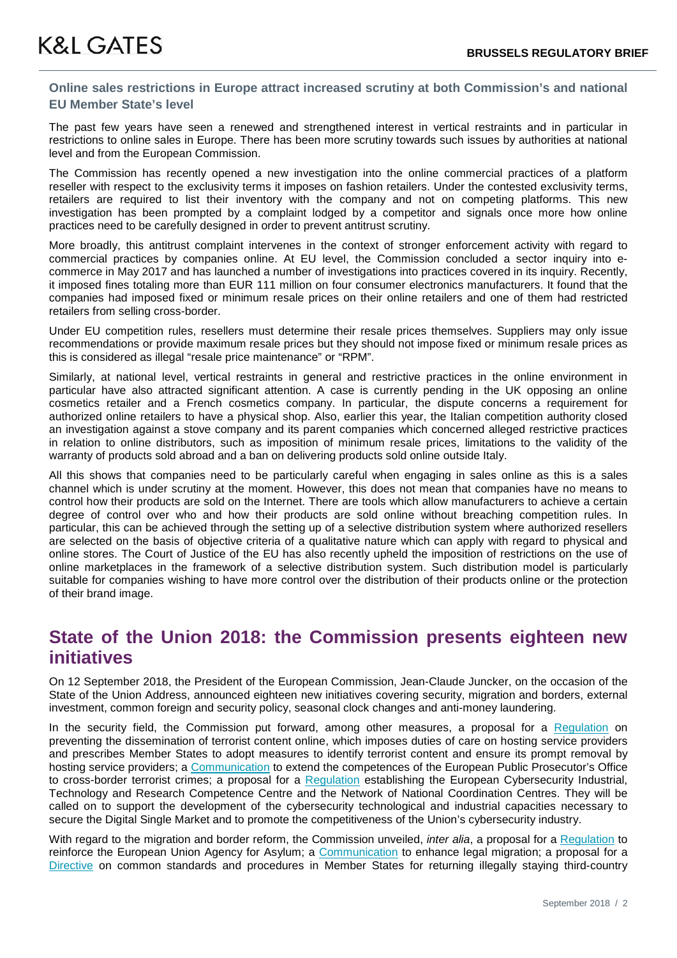#### **Online sales restrictions in Europe attract increased scrutiny at both Commission's and national EU Member State's level**

The past few years have seen a renewed and strengthened interest in vertical restraints and in particular in restrictions to online sales in Europe. There has been more scrutiny towards such issues by authorities at national level and from the European Commission.

The Commission has recently opened a new investigation into the online commercial practices of a platform reseller with respect to the exclusivity terms it imposes on fashion retailers. Under the contested exclusivity terms, retailers are required to list their inventory with the company and not on competing platforms. This new investigation has been prompted by a complaint lodged by a competitor and signals once more how online practices need to be carefully designed in order to prevent antitrust scrutiny.

More broadly, this antitrust complaint intervenes in the context of stronger enforcement activity with regard to commercial practices by companies online. At EU level, the Commission concluded a sector inquiry into ecommerce in May 2017 and has launched a number of investigations into practices covered in its inquiry. Recently, it imposed fines totaling more than EUR 111 million on four consumer electronics manufacturers. It found that the companies had imposed fixed or minimum resale prices on their online retailers and one of them had restricted retailers from selling cross-border.

Under EU competition rules, resellers must determine their resale prices themselves. Suppliers may only issue recommendations or provide maximum resale prices but they should not impose fixed or minimum resale prices as this is considered as illegal "resale price maintenance" or "RPM".

Similarly, at national level, vertical restraints in general and restrictive practices in the online environment in particular have also attracted significant attention. A case is currently pending in the UK opposing an online cosmetics retailer and a French cosmetics company. In particular, the dispute concerns a requirement for authorized online retailers to have a physical shop. Also, earlier this year, the Italian competition authority closed an investigation against a stove company and its parent companies which concerned alleged restrictive practices in relation to online distributors, such as imposition of minimum resale prices, limitations to the validity of the warranty of products sold abroad and a ban on delivering products sold online outside Italy.

All this shows that companies need to be particularly careful when engaging in sales online as this is a sales channel which is under scrutiny at the moment. However, this does not mean that companies have no means to control how their products are sold on the Internet. There are tools which allow manufacturers to achieve a certain degree of control over who and how their products are sold online without breaching competition rules. In particular, this can be achieved through the setting up of a selective distribution system where authorized resellers are selected on the basis of objective criteria of a qualitative nature which can apply with regard to physical and online stores. The Court of Justice of the EU has also recently upheld the imposition of restrictions on the use of online marketplaces in the framework of a selective distribution system. Such distribution model is particularly suitable for companies wishing to have more control over the distribution of their products online or the protection of their brand image.

## **State of the Union 2018: the Commission presents eighteen new initiatives**

On 12 September 2018, the President of the European Commission, Jean-Claude Juncker, on the occasion of the State of the Union Address, announced eighteen new initiatives covering security, migration and borders, external investment, common foreign and security policy, seasonal clock changes and anti-money laundering.

In the security field, the Commission put forward, among other measures, a proposal for a [Regulation](https://ec.europa.eu/commission/sites/beta-political/files/soteu2018-preventing-terrorist-content-online-regulation-640_en.pdf) on preventing the dissemination of terrorist content online, which imposes duties of care on hosting service providers and prescribes Member States to adopt measures to identify terrorist content and ensure its prompt removal by hosting service providers; a [Communication](https://ec.europa.eu/commission/sites/beta-political/files/soteu2018-extend-public-prosecutors-office-communication-641_en.pdf) to extend the competences of the European Public Prosecutor's Office to cross-border terrorist crimes; a proposal for a [Regulation](https://ec.europa.eu/commission/sites/beta-political/files/soteu2018-cybersecurity-centres-regulation-630_en.pdf) establishing the European Cybersecurity Industrial, Technology and Research Competence Centre and the Network of National Coordination Centres. They will be called on to support the development of the cybersecurity technological and industrial capacities necessary to secure the Digital Single Market and to promote the competitiveness of the Union's cybersecurity industry.

With regard to the migration and border reform, the Commission unveiled, *inter alia*, a proposal for a [Regulation](https://ec.europa.eu/commission/sites/beta-political/files/soteu2018-eu-agency-asylum-regulation-633_en.pdf) to reinforce the European Union Agency for Asylum; a [Communication](https://ec.europa.eu/commission/sites/beta-political/files/soteu2018-legal-pathways-europe-communication-635_en.pdf) to enhance legal migration; a proposal for a [Directive](https://ec.europa.eu/commission/sites/beta-political/files/soteu2018-returning-illegally-staying-third-country-nationals-directive-annexe-634_en.pdf) on common standards and procedures in Member States for returning illegally staying third-country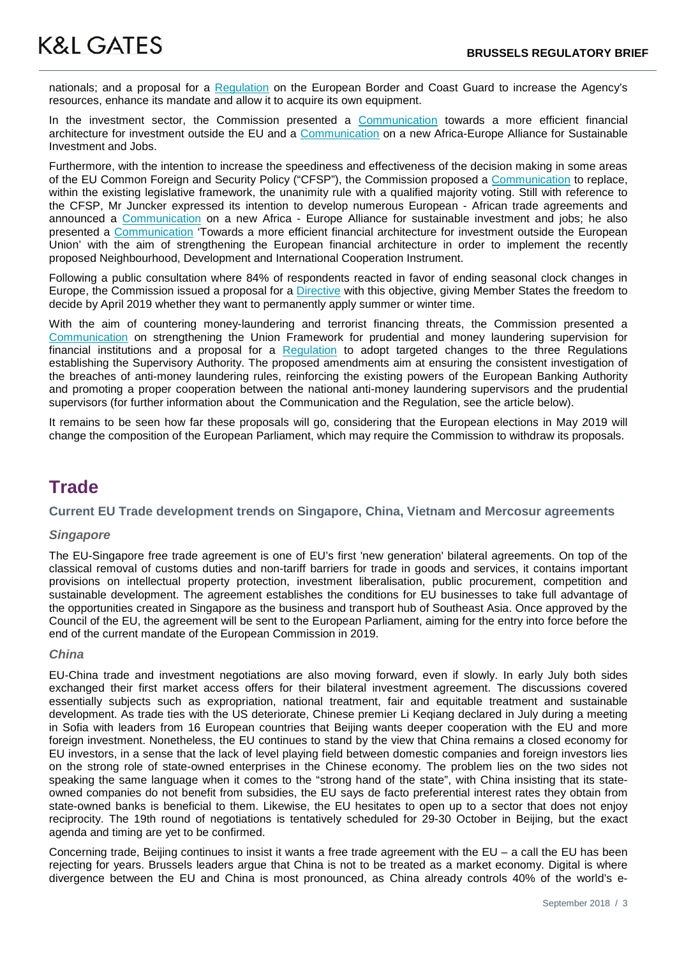nationals; and a proposal for a [Regulation](https://ec.europa.eu/commission/sites/beta-political/files/soteu2018-eu-agency-asylum-regulation-633_en.pdf) on the European Border and Coast Guard to increase the Agency's resources, enhance its mandate and allow it to acquire its own equipment.

In the investment sector, the Commission presented a [Communication](https://ec.europa.eu/commission/sites/beta-political/files/soteu2018-investment-outside-eu-communication-644_en_0.pdf) towards a more efficient financial architecture for investment outside the EU and a [Communication](https://ec.europa.eu/commission/sites/beta-political/files/soteu2018-africa-europe-jobs-alliance-communication-643_en.pdf) on a new Africa-Europe Alliance for Sustainable Investment and Jobs.

Furthermore, with the intention to increase the speediness and effectiveness of the decision making in some areas of the EU Common Foreign and Security Policy ("CFSP"), the Commission proposed a [Communication](https://ec.europa.eu/commission/sites/beta-political/files/soteu2018-efficient-decision-making-cfsp-communication-647_en.pdf) to replace, within the existing legislative framework, the unanimity rule with a qualified majority voting. Still with reference to the CFSP, Mr Juncker expressed its intention to develop numerous European - African trade agreements and announced a [Communication](https://eur-lex.europa.eu/legal-content/EN/TXT/PDF/?uri=CELEX:52018DC0643&from=EN) on a new Africa - Europe Alliance for sustainable investment and jobs; he also presented a [Communication](https://eur-lex.europa.eu/legal-content/EN/TXT/PDF/?uri=CELEX:52018DC0644&from=EN) 'Towards a more efficient financial architecture for investment outside the European Union' with the aim of strengthening the European financial architecture in order to implement the recently proposed Neighbourhood, Development and International Cooperation Instrument.

Following a public consultation where 84% of respondents reacted in favor of ending seasonal clock changes in Europe, the Commission issued a proposal for a [Directive](https://ec.europa.eu/commission/sites/beta-political/files/soteu2018-discontinuing-seasonal-changes-time-directive-639_en.pdf) with this objective, giving Member States the freedom to decide by April 2019 whether they want to permanently apply summer or winter time.

With the aim of countering money-laundering and terrorist financing threats, the Commission presented a [Communication](https://ec.europa.eu/commission/sites/beta-political/files/soteu2018-anti-money-laundering-communication-645_en.pdf) on strengthening the Union Framework for prudential and money laundering supervision for financial institutions and a proposal for a [Regulation](https://ec.europa.eu/commission/sites/beta-political/files/soteu2018-supervisory-authorities-regulation-646_en.pdf) to adopt targeted changes to the three Regulations establishing the Supervisory Authority. The proposed amendments aim at ensuring the consistent investigation of the breaches of anti-money laundering rules, reinforcing the existing powers of the European Banking Authority and promoting a proper cooperation between the national anti-money laundering supervisors and the prudential supervisors (for further information about the Communication and the Regulation, see the article below).

It remains to be seen how far these proposals will go, considering that the European elections in May 2019 will change the composition of the European Parliament, which may require the Commission to withdraw its proposals.

## **Trade**

#### **Current EU Trade development trends on Singapore, China, Vietnam and Mercosur agreements**

#### *Singapore*

The EU-Singapore free trade agreement is one of EU's first 'new generation' bilateral agreements. On top of the classical removal of customs duties and non-tariff barriers for trade in goods and services, it contains important provisions on intellectual property protection, investment liberalisation, public procurement, competition and sustainable development. The agreement establishes the conditions for EU businesses to take full advantage of the opportunities created in Singapore as the business and transport hub of Southeast Asia. Once approved by the Council of the EU, the agreement will be sent to the European Parliament, aiming for the entry into force before the end of the current mandate of the European Commission in 2019.

#### *China*

EU-China trade and investment negotiations are also moving forward, even if slowly. In early July both sides exchanged their first market access offers for their bilateral investment agreement. The discussions covered essentially subjects such as expropriation, national treatment, fair and equitable treatment and sustainable development. As trade ties with the US deteriorate, Chinese premier Li Keqiang declared in July during a meeting in Sofia with leaders from 16 European countries that Beijing wants deeper cooperation with the EU and more foreign investment. Nonetheless, the EU continues to stand by the view that China remains a closed economy for EU investors, in a sense that the lack of level playing field between domestic companies and foreign investors lies on the strong role of state-owned enterprises in the Chinese economy. The problem lies on the two sides not speaking the same language when it comes to the "strong hand of the state", with China insisting that its stateowned companies do not benefit from subsidies, the EU says de facto preferential interest rates they obtain from state-owned banks is beneficial to them. Likewise, the EU hesitates to open up to a sector that does not enjoy reciprocity. The 19th round of negotiations is tentatively scheduled for 29-30 October in Beijing, but the exact agenda and timing are yet to be confirmed.

Concerning trade, Beijing continues to insist it wants a free trade agreement with the  $EU - a$  call the EU has been rejecting for years. Brussels leaders argue that China is not to be treated as a market economy. Digital is where divergence between the EU and China is most pronounced, as China already controls 40% of the world's e-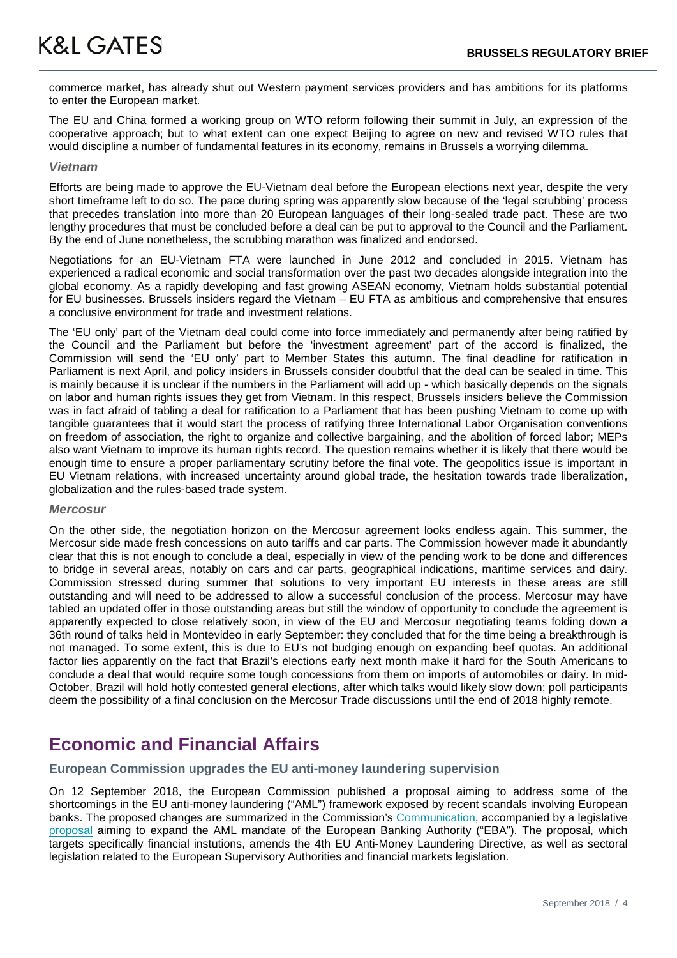commerce market, has already shut out Western payment services providers and has ambitions for its platforms to enter the European market.

The EU and China formed a working group on WTO reform following their summit in July, an expression of the cooperative approach; but to what extent can one expect Beijing to agree on new and revised WTO rules that would discipline a number of fundamental features in its economy, remains in Brussels a worrying dilemma.

#### *Vietnam*

Efforts are being made to approve the EU-Vietnam deal before the European elections next year, despite the very short timeframe left to do so. The pace during spring was apparently slow because of the 'legal scrubbing' process that precedes translation into more than 20 European languages of their long-sealed trade pact. These are two lengthy procedures that must be concluded before a deal can be put to approval to the Council and the Parliament. By the end of June nonetheless, the scrubbing marathon was finalized and endorsed.

Negotiations for an EU-Vietnam FTA were launched in June 2012 and concluded in 2015. Vietnam has experienced a radical economic and social transformation over the past two decades alongside integration into the global economy. As a rapidly developing and fast growing ASEAN economy, Vietnam holds substantial potential for EU businesses. Brussels insiders regard the Vietnam – EU FTA as ambitious and comprehensive that ensures a conclusive environment for trade and investment relations.

The 'EU only' part of the Vietnam deal could come into force immediately and permanently after being ratified by the Council and the Parliament but before the 'investment agreement' part of the accord is finalized, the Commission will send the 'EU only' part to Member States this autumn. The final deadline for ratification in Parliament is next April, and policy insiders in Brussels consider doubtful that the deal can be sealed in time. This is mainly because it is unclear if the numbers in the Parliament will add up - which basically depends on the signals on labor and human rights issues they get from Vietnam. In this respect, Brussels insiders believe the Commission was in fact afraid of tabling a deal for ratification to a Parliament that has been pushing Vietnam to come up with tangible guarantees that it would start the process of ratifying three International Labor Organisation conventions on freedom of association, the right to organize and collective bargaining, and the abolition of forced labor; MEPs also want Vietnam to improve its human rights record. The question remains whether it is likely that there would be enough time to ensure a proper parliamentary scrutiny before the final vote. The geopolitics issue is important in EU Vietnam relations, with increased uncertainty around global trade, the hesitation towards trade liberalization, globalization and the rules-based trade system.

#### *Mercosur*

On the other side, the negotiation horizon on the Mercosur agreement looks endless again. This summer, the Mercosur side made fresh concessions on auto tariffs and car parts. The Commission however made it abundantly clear that this is not enough to conclude a deal, especially in view of the pending work to be done and differences to bridge in several areas, notably on cars and car parts, geographical indications, maritime services and dairy. Commission stressed during summer that solutions to very important EU interests in these areas are still outstanding and will need to be addressed to allow a successful conclusion of the process. Mercosur may have tabled an updated offer in those outstanding areas but still the window of opportunity to conclude the agreement is apparently expected to close relatively soon, in view of the EU and Mercosur negotiating teams folding down a 36th round of talks held in Montevideo in early September: they concluded that for the time being a breakthrough is not managed. To some extent, this is due to EU's not budging enough on expanding beef quotas. An additional factor lies apparently on the fact that Brazil's elections early next month make it hard for the South Americans to conclude a deal that would require some tough concessions from them on imports of automobiles or dairy. In mid-October, Brazil will hold hotly contested general elections, after which talks would likely slow down; poll participants deem the possibility of a final conclusion on the Mercosur Trade discussions until the end of 2018 highly remote.

## **Economic and Financial Affairs**

#### **European Commission upgrades the EU anti-money laundering supervision**

On 12 September 2018, the European Commission published a proposal aiming to address some of the shortcomings in the EU anti-money laundering ("AML") framework exposed by recent scandals involving European banks. The proposed changes are summarized in the Commission's [Communication,](https://ec.europa.eu/commission/sites/beta-political/files/soteu2018-anti-money-laundering-communication-645_en.pdf) accompanied by a legislative [proposal](https://ec.europa.eu/commission/sites/beta-political/files/soteu2018-supervisory-authorities-regulation-646_en.pdf) aiming to expand the AML mandate of the European Banking Authority ("EBA"). The proposal, which targets specifically financial instutions, amends the 4th EU Anti-Money Laundering Directive, as well as sectoral legislation related to the European Supervisory Authorities and financial markets legislation.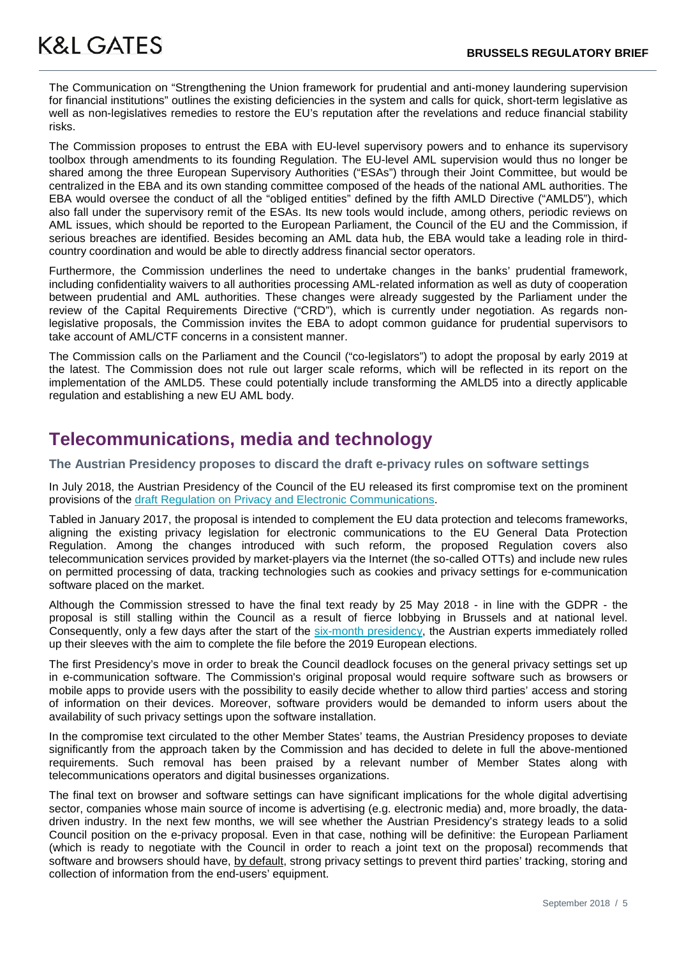The Communication on "Strengthening the Union framework for prudential and anti-money laundering supervision for financial institutions" outlines the existing deficiencies in the system and calls for quick, short-term legislative as well as non-legislatives remedies to restore the EU's reputation after the revelations and reduce financial stability risks.

The Commission proposes to entrust the EBA with EU-level supervisory powers and to enhance its supervisory toolbox through amendments to its founding Regulation. The EU-level AML supervision would thus no longer be shared among the three European Supervisory Authorities ("ESAs") through their Joint Committee, but would be centralized in the EBA and its own standing committee composed of the heads of the national AML authorities. The EBA would oversee the conduct of all the "obliged entities" defined by the fifth AMLD Directive ("AMLD5"), which also fall under the supervisory remit of the ESAs. Its new tools would include, among others, periodic reviews on AML issues, which should be reported to the European Parliament, the Council of the EU and the Commission, if serious breaches are identified. Besides becoming an AML data hub, the EBA would take a leading role in thirdcountry coordination and would be able to directly address financial sector operators.

Furthermore, the Commission underlines the need to undertake changes in the banks' prudential framework, including confidentiality waivers to all authorities processing AML-related information as well as duty of cooperation between prudential and AML authorities. These changes were already suggested by the Parliament under the review of the Capital Requirements Directive ("CRD"), which is currently under negotiation. As regards nonlegislative proposals, the Commission invites the EBA to adopt common guidance for prudential supervisors to take account of AML/CTF concerns in a consistent manner.

The Commission calls on the Parliament and the Council ("co-legislators") to adopt the proposal by early 2019 at the latest. The Commission does not rule out larger scale reforms, which will be reflected in its report on the implementation of the AMLD5. These could potentially include transforming the AMLD5 into a directly applicable regulation and establishing a new EU AML body.

## **Telecommunications, media and technology**

**The Austrian Presidency proposes to discard the draft e-privacy rules on software settings**

In July 2018, the Austrian Presidency of the Council of the EU released its first compromise text on the prominent provisions of the [draft Regulation on Privacy and Electronic Communications.](https://eur-lex.europa.eu/legal-content/EN/TXT/PDF/?uri=CELEX:52017PC0010&from=EN)

Tabled in January 2017, the proposal is intended to complement the EU data protection and telecoms frameworks, aligning the existing privacy legislation for electronic communications to the EU General Data Protection Regulation. Among the changes introduced with such reform, the proposed Regulation covers also telecommunication services provided by market-players via the Internet (the so-called OTTs) and include new rules on permitted processing of data, tracking technologies such as cookies and privacy settings for e-communication software placed on the market.

Although the Commission stressed to have the final text ready by 25 May 2018 - in line with the GDPR - the proposal is still stalling within the Council as a result of fierce lobbying in Brussels and at national level. Consequently, only a few days after the start of the [six-month presidency,](http://www.consilium.europa.eu/en/council-eu/presidency-council-eu/) the Austrian experts immediately rolled up their sleeves with the aim to complete the file before the 2019 European elections.

The first Presidency's move in order to break the Council deadlock focuses on the general privacy settings set up in e-communication software. The Commission's original proposal would require software such as browsers or mobile apps to provide users with the possibility to easily decide whether to allow third parties' access and storing of information on their devices. Moreover, software providers would be demanded to inform users about the availability of such privacy settings upon the software installation.

In the compromise text circulated to the other Member States' teams, the Austrian Presidency proposes to deviate significantly from the approach taken by the Commission and has decided to delete in full the above-mentioned requirements. Such removal has been praised by a relevant number of Member States along with telecommunications operators and digital businesses organizations.

The final text on browser and software settings can have significant implications for the whole digital advertising sector, companies whose main source of income is advertising (e.g. electronic media) and, more broadly, the datadriven industry. In the next few months, we will see whether the Austrian Presidency's strategy leads to a solid Council position on the e-privacy proposal. Even in that case, nothing will be definitive: the European Parliament (which is ready to negotiate with the Council in order to reach a joint text on the proposal) recommends that software and browsers should have, by default, strong privacy settings to prevent third parties' tracking, storing and collection of information from the end-users' equipment.